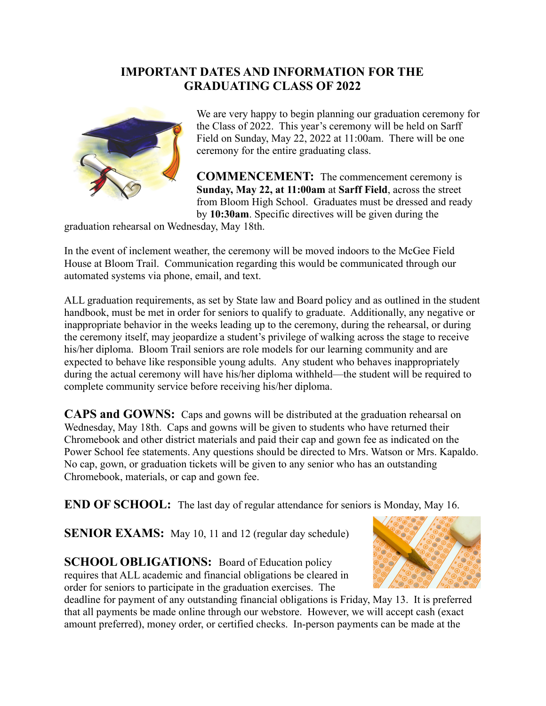## **IMPORTANT DATES AND INFORMATION FOR THE GRADUATING CLASS OF 2022**



We are very happy to begin planning our graduation ceremony for the Class of 2022. This year's ceremony will be held on Sarff Field on Sunday, May 22, 2022 at 11:00am. There will be one ceremony for the entire graduating class.

**COMMENCEMENT:** The commencement ceremony is **Sunday, May 22, at 11:00am** at **Sarff Field**, across the street from Bloom High School. Graduates must be dressed and ready by **10:30am**. Specific directives will be given during the

graduation rehearsal on Wednesday, May 18th.

In the event of inclement weather, the ceremony will be moved indoors to the McGee Field House at Bloom Trail. Communication regarding this would be communicated through our automated systems via phone, email, and text.

ALL graduation requirements, as set by State law and Board policy and as outlined in the student handbook, must be met in order for seniors to qualify to graduate. Additionally, any negative or inappropriate behavior in the weeks leading up to the ceremony, during the rehearsal, or during the ceremony itself, may jeopardize a student's privilege of walking across the stage to receive his/her diploma. Bloom Trail seniors are role models for our learning community and are expected to behave like responsible young adults. Any student who behaves inappropriately during the actual ceremony will have his/her diploma withheld—the student will be required to complete community service before receiving his/her diploma.

**CAPS and GOWNS:** Caps and gowns will be distributed at the graduation rehearsal on Wednesday, May 18th. Caps and gowns will be given to students who have returned their Chromebook and other district materials and paid their cap and gown fee as indicated on the Power School fee statements. Any questions should be directed to Mrs. Watson or Mrs. Kapaldo. No cap, gown, or graduation tickets will be given to any senior who has an outstanding Chromebook, materials, or cap and gown fee.

**END OF SCHOOL:** The last day of regular attendance for seniors is Monday, May 16.

**SENIOR EXAMS:** May 10, 11 and 12 (regular day schedule)

**SCHOOL OBLIGATIONS:** Board of Education policy requires that ALL academic and financial obligations be cleared in order for seniors to participate in the graduation exercises. The



deadline for payment of any outstanding financial obligations is Friday, May 13. It is preferred that all payments be made online through our webstore. However, we will accept cash (exact amount preferred), money order, or certified checks. In-person payments can be made at the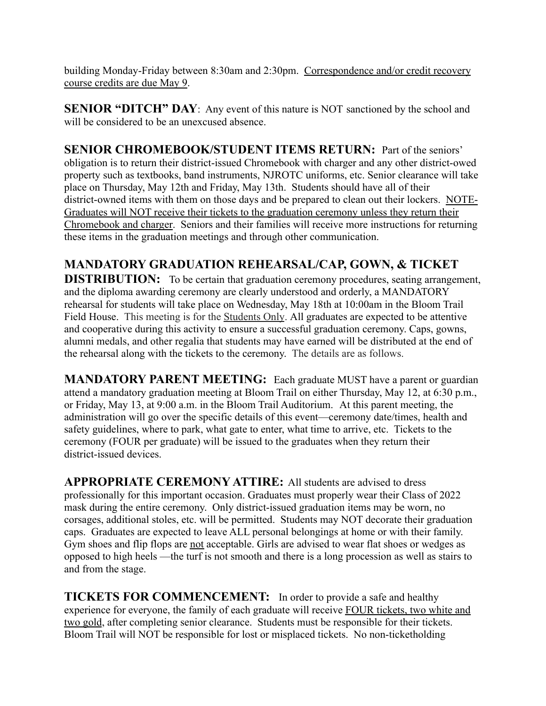building Monday-Friday between 8:30am and 2:30pm. Correspondence and/or credit recovery course credits are due May 9.

**SENIOR "DITCH"** DAY: Any event of this nature is NOT sanctioned by the school and will be considered to be an unexcused absence.

**SENIOR CHROMEBOOK/STUDENT ITEMS RETURN:** Part of the seniors' obligation is to return their district-issued Chromebook with charger and any other district-owed property such as textbooks, band instruments, NJROTC uniforms, etc. Senior clearance will take place on Thursday, May 12th and Friday, May 13th. Students should have all of their district-owned items with them on those days and be prepared to clean out their lockers. NOTE-Graduates will NOT receive their tickets to the graduation ceremony unless they return their Chromebook and charger. Seniors and their families will receive more instructions for returning these items in the graduation meetings and through other communication.

## **MANDATORY GRADUATION REHEARSAL/CAP, GOWN, & TICKET**

**DISTRIBUTION:** To be certain that graduation ceremony procedures, seating arrangement, and the diploma awarding ceremony are clearly understood and orderly, a MANDATORY rehearsal for students will take place on Wednesday, May 18th at 10:00am in the Bloom Trail Field House. This meeting is for the Students Only. All graduates are expected to be attentive and cooperative during this activity to ensure a successful graduation ceremony. Caps, gowns, alumni medals, and other regalia that students may have earned will be distributed at the end of the rehearsal along with the tickets to the ceremony. The details are as follows.

**MANDATORY PARENT MEETING:** Each graduate MUST have a parent or guardian attend a mandatory graduation meeting at Bloom Trail on either Thursday, May 12, at 6:30 p.m., or Friday, May 13, at 9:00 a.m. in the Bloom Trail Auditorium. At this parent meeting, the administration will go over the specific details of this event—ceremony date/times, health and safety guidelines, where to park, what gate to enter, what time to arrive, etc. Tickets to the ceremony (FOUR per graduate) will be issued to the graduates when they return their district-issued devices.

**APPROPRIATE CEREMONY ATTIRE:** All students are advised to dress professionally for this important occasion. Graduates must properly wear their Class of 2022 mask during the entire ceremony. Only district-issued graduation items may be worn, no corsages, additional stoles, etc. will be permitted. Students may NOT decorate their graduation caps. Graduates are expected to leave ALL personal belongings at home or with their family. Gym shoes and flip flops are not acceptable. Girls are advised to wear flat shoes or wedges as opposed to high heels —the turf is not smooth and there is a long procession as well as stairs to and from the stage.

**TICKETS FOR COMMENCEMENT:** In order to provide a safe and healthy experience for everyone, the family of each graduate will receive FOUR tickets, two white and two gold, after completing senior clearance. Students must be responsible for their tickets. Bloom Trail will NOT be responsible for lost or misplaced tickets. No non-ticketholding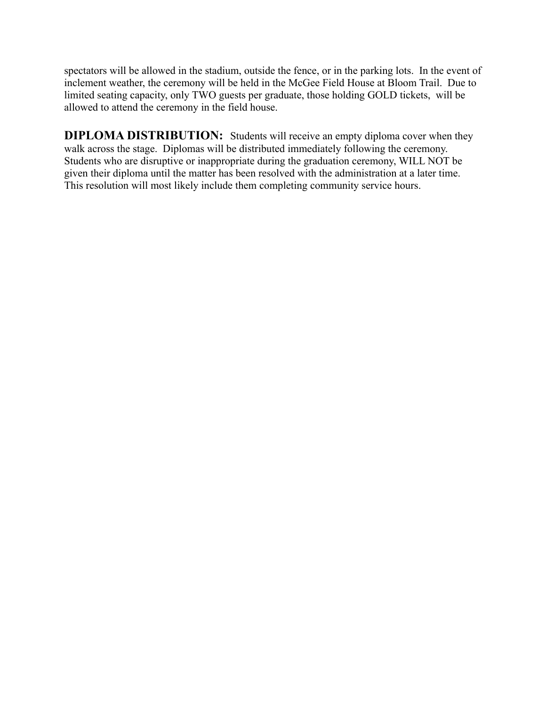spectators will be allowed in the stadium, outside the fence, or in the parking lots. In the event of inclement weather, the ceremony will be held in the McGee Field House at Bloom Trail. Due to limited seating capacity, only TWO guests per graduate, those holding GOLD tickets, will be allowed to attend the ceremony in the field house.

**DIPLOMA DISTRIBUTION:** Students will receive an empty diploma cover when they walk across the stage. Diplomas will be distributed immediately following the ceremony. Students who are disruptive or inappropriate during the graduation ceremony, WILL NOT be given their diploma until the matter has been resolved with the administration at a later time. This resolution will most likely include them completing community service hours.